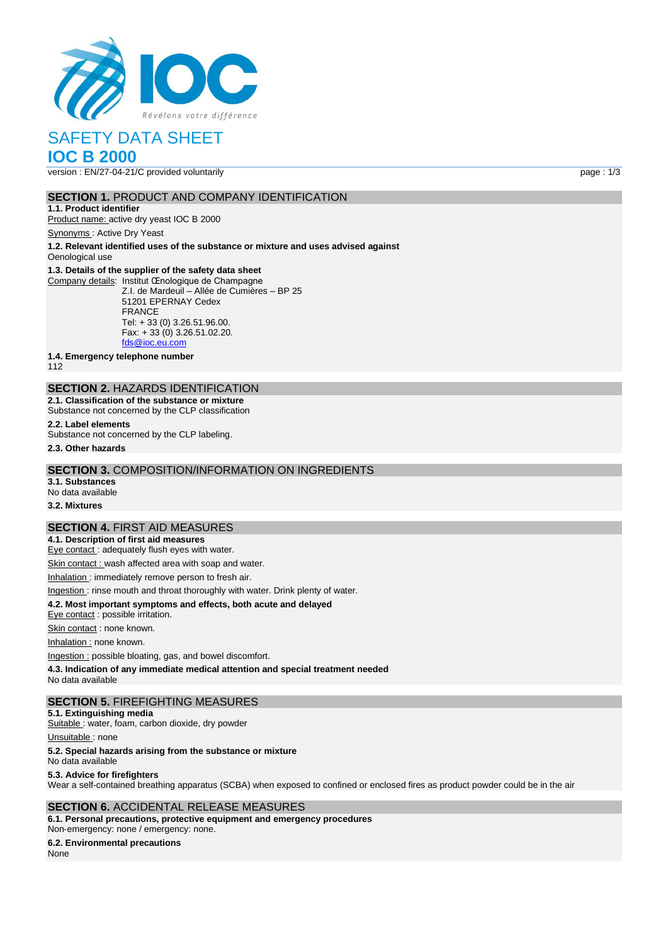

# **IOC B 2000**

version : EN/27-04-21/C provided voluntarily page : 1/3

# **SECTION 1. PRODUCT AND COMPANY IDENTIFICATION**

**1.1. Product identifier** Product name: active dry yeast IOC B 2000

Synonyms : Active Dry Yeast

**1.2. Relevant identified uses of the substance or mixture and uses advised against** Oenological use

#### **1.3. Details of the supplier of the safety data sheet**

Company details: Institut Œnologique de Champagne Z.I. de Mardeuil – Allée de Cumières – BP 25 51201 EPERNAY Cedex FRANCE Tel: + 33 (0) 3.26.51.96.00. Fax: + 33 (0) 3.26.51.02.20. [fds@ioc.eu.com](mailto:fds@ioc.eu.com)

**1.4. Emergency telephone number**

112

# **SECTION 2.** HAZARDS IDENTIFICATION

**2.1. Classification of the substance or mixture** Substance not concerned by the CLP classification

# **2.2. Label elements**

Substance not concerned by the CLP labeling.

**2.3. Other hazards**

# **SECTION 3.** COMPOSITION/INFORMATION ON INGREDIENTS

**3.1. Substances** No data available

#### **3.2. Mixtures**

## **SECTION 4.** FIRST AID MEASURES

**4.1. Description of first aid measures**

Eye contact : adequately flush eyes with water.

Skin contact : wash affected area with soap and water.

Inhalation : immediately remove person to fresh air.

#### Ingestion : rinse mouth and throat thoroughly with water. Drink plenty of water.

**4.2. Most important symptoms and effects, both acute and delayed**

Eye contact : possible irritation.

Skin contact : none known.

Inhalation : none known.

Ingestion : possible bloating, gas, and bowel discomfort.

**4.3. Indication of any immediate medical attention and special treatment needed**

No data available

## **SECTION 5.** FIREFIGHTING MEASURES

**5.1. Extinguishing media**

Suitable : water, foam, carbon dioxide, dry powder

Unsuitable : none

#### **5.2. Special hazards arising from the substance or mixture**

No data available

#### **5.3. Advice for firefighters**

Wear a self-contained breathing apparatus (SCBA) when exposed to confined or enclosed fires as product powder could be in the air

## **SECTION 6.** ACCIDENTAL RELEASE MEASURES

**6.1. Personal precautions, protective equipment and emergency procedures** Non‐emergency: none / emergency: none.

# **6.2. Environmental precautions**

None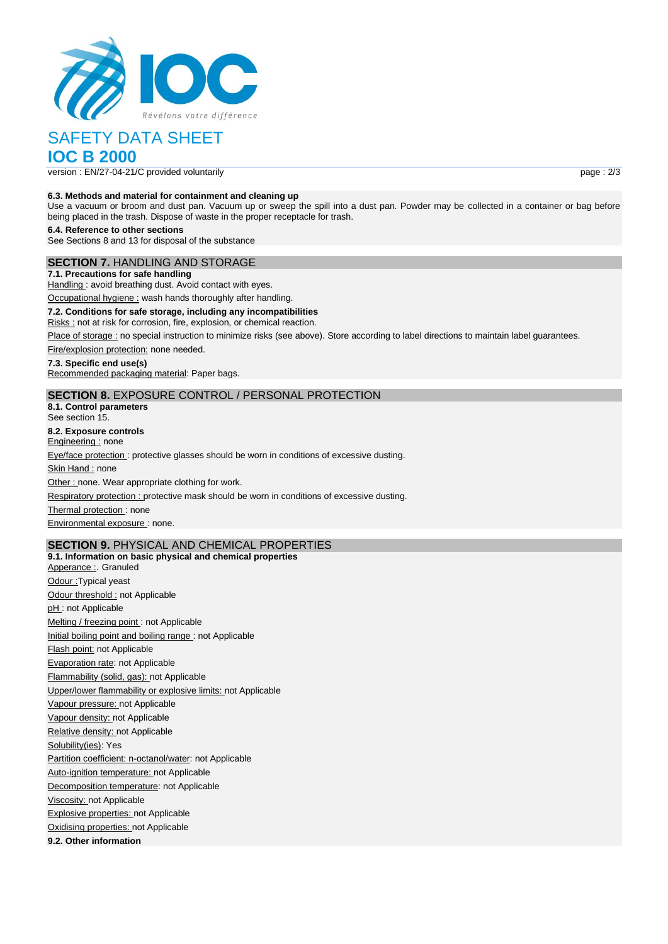

**IOC B 2000**

version : EN/27-04-21/C provided voluntarily page : 2/3

## **6.3. Methods and material for containment and cleaning up**

Use a vacuum or broom and dust pan. Vacuum up or sweep the spill into a dust pan. Powder may be collected in a container or bag before being placed in the trash. Dispose of waste in the proper receptacle for trash.

**6.4. Reference to other sections**

See Sections 8 and 13 for disposal of the substance

# **SECTION 7.** HANDLING AND STORAGE

**7.1. Precautions for safe handling** Handling: avoid breathing dust. Avoid contact with eyes.

Occupational hygiene : wash hands thoroughly after handling.

**7.2. Conditions for safe storage, including any incompatibilities** Risks : not at risk for corrosion, fire, explosion, or chemical reaction.

Place of storage : no special instruction to minimize risks (see above). Store according to label directions to maintain label guarantees.

Fire/explosion protection: none needed.

#### **7.3. Specific end use(s)**

Recommended packaging material: Paper bags.

# **SECTION 8.** EXPOSURE CONTROL / PERSONAL PROTECTION

**8.1. Control parameters** See section 15.

**8.2. Exposure controls**

Engineering : none

Eye/face protection : protective glasses should be worn in conditions of excessive dusting.

Skin Hand : none

Other : none. Wear appropriate clothing for work.

Respiratory protection : protective mask should be worn in conditions of excessive dusting.

Thermal protection : none

Environmental exposure : none.

# **SECTION 9.** PHYSICAL AND CHEMICAL PROPERTIES

**9.1. Information on basic physical and chemical properties** Apperance : Granuled Odour : Typical yeast Odour threshold : not Applicable pH : not Applicable Melting / freezing point : not Applicable Initial boiling point and boiling range : not Applicable Flash point: not Applicable Evaporation rate: not Applicable Flammability (solid, gas): not Applicable Upper/lower flammability or explosive limits: not Applicable Vapour pressure: not Applicable Vapour density: not Applicable Relative density: not Applicable Solubility(ies): Yes Partition coefficient: n-octanol/water: not Applicable Auto-ignition temperature: not Applicable Decomposition temperature: not Applicable Viscosity: not Applicable Explosive properties: not Applicable Oxidising properties: not Applicable **9.2. Other information**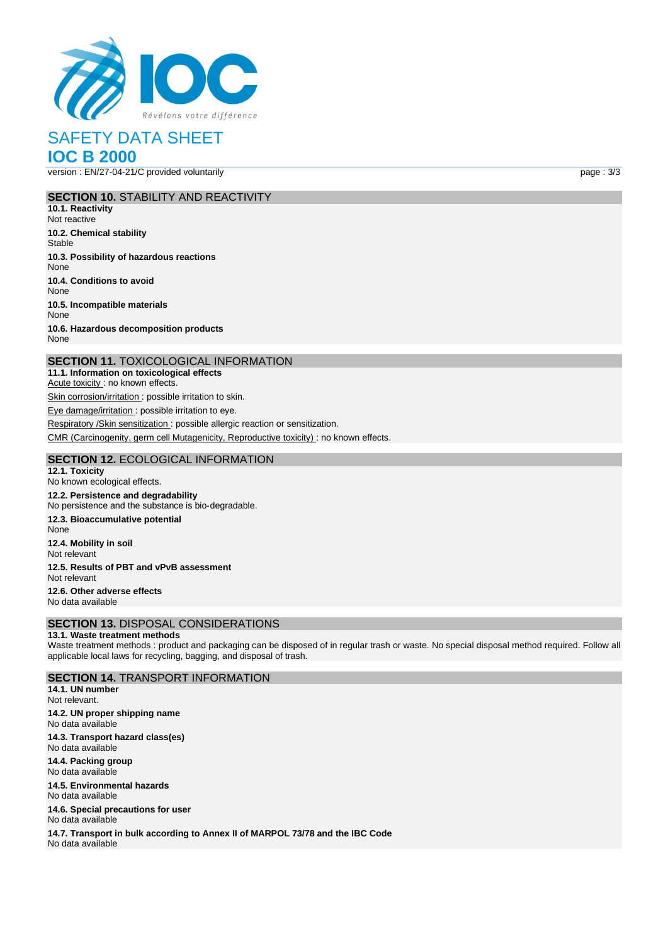

**IOC B 2000**

version : EN/27-04-21/C provided voluntarily page : 3/3

# **SECTION 10.** STABILITY AND REACTIVITY

**10.1. Reactivity** Not reactive **10.2. Chemical stability Stable 10.3. Possibility of hazardous reactions** None **10.4. Conditions to avoid** None **10.5. Incompatible materials** None **10.6. Hazardous decomposition products** None

# **SECTION 11.** TOXICOLOGICAL INFORMATION

**11.1. Information on toxicological effects** Acute toxicity : no known effects. Skin corrosion/irritation : possible irritation to skin.

Eye damage/irritation : possible irritation to eye.

Respiratory /Skin sensitization : possible allergic reaction or sensitization.

CMR (Carcinogenity, germ cell Mutagenicity, Reproductive toxicity) : no known effects.

# **SECTION 12.** ECOLOGICAL INFORMATION

**12.1. Toxicity** No known ecological effects. **12.2. Persistence and degradability** No persistence and the substance is bio‐degradable. **12.3. Bioaccumulative potential** None **12.4. Mobility in soil** Not relevant **12.5. Results of PBT and vPvB assessment** Not relevant **12.6. Other adverse effects** No data available **SECTION 13.** DISPOSAL CONSIDERATIONS

# **13.1. Waste treatment methods**

Waste treatment methods : product and packaging can be disposed of in regular trash or waste. No special disposal method required. Follow all applicable local laws for recycling, bagging, and disposal of trash.

# **SECTION 14.** TRANSPORT INFORMATION

**14.1. UN number** Not relevant. **14.2. UN proper shipping name** No data available **14.3. Transport hazard class(es)** No data available **14.4. Packing group** No data available

**14.5. Environmental hazards** No data available

**14.6. Special precautions for user** No data available

**14.7. Transport in bulk according to Annex II of MARPOL 73/78 and the IBC Code** No data available